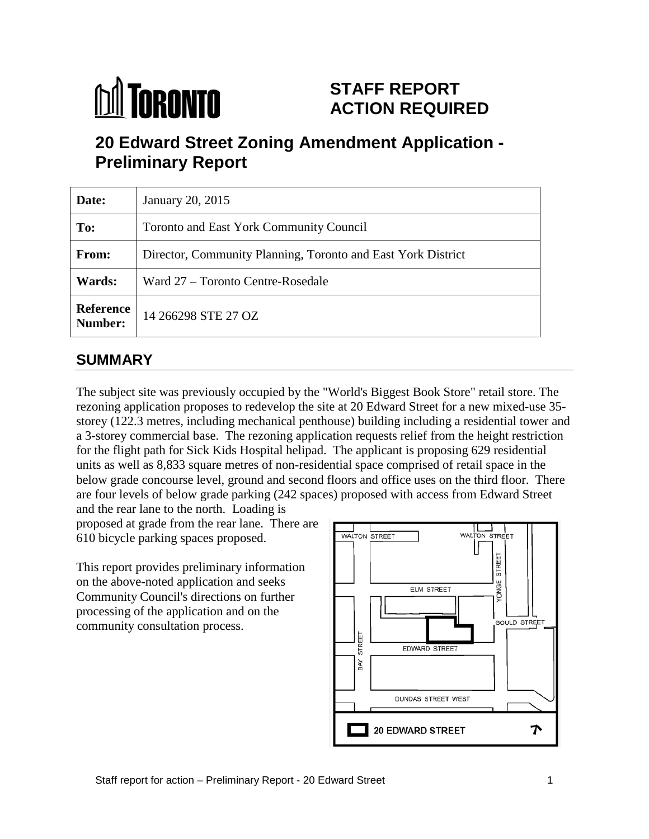# **M** TORONTO

# **STAFF REPORT ACTION REQUIRED**

# **20 Edward Street Zoning Amendment Application - Preliminary Report**

| Date:                       | January 20, 2015                                             |  |  |  |  |  |
|-----------------------------|--------------------------------------------------------------|--|--|--|--|--|
| To:                         | <b>Toronto and East York Community Council</b>               |  |  |  |  |  |
| From:                       | Director, Community Planning, Toronto and East York District |  |  |  |  |  |
| Wards:                      | Ward 27 – Toronto Centre-Rosedale                            |  |  |  |  |  |
| <b>Reference</b><br>Number: | 14 266298 STE 27 OZ                                          |  |  |  |  |  |

# **SUMMARY**

The subject site was previously occupied by the "World's Biggest Book Store" retail store. The rezoning application proposes to redevelop the site at 20 Edward Street for a new mixed-use 35 storey (122.3 metres, including mechanical penthouse) building including a residential tower and a 3-storey commercial base. The rezoning application requests relief from the height restriction for the flight path for Sick Kids Hospital helipad. The applicant is proposing 629 residential units as well as 8,833 square metres of non-residential space comprised of retail space in the below grade concourse level, ground and second floors and office uses on the third floor. There are four levels of below grade parking (242 spaces) proposed with access from Edward Street

and the rear lane to the north. Loading is proposed at grade from the rear lane. There are 610 bicycle parking spaces proposed.

This report provides preliminary information on the above-noted application and seeks Community Council's directions on further processing of the application and on the community consultation process.

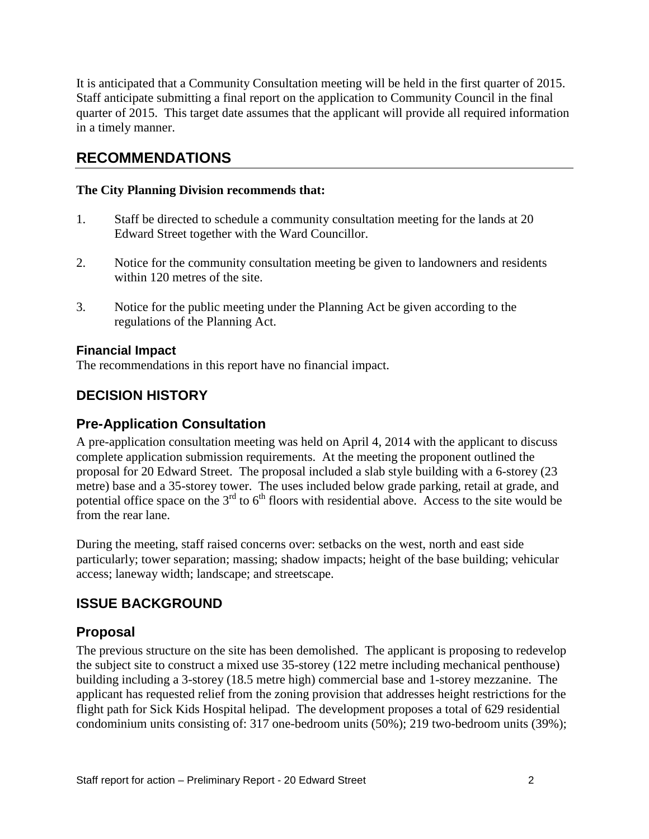It is anticipated that a Community Consultation meeting will be held in the first quarter of 2015. Staff anticipate submitting a final report on the application to Community Council in the final quarter of 2015. This target date assumes that the applicant will provide all required information in a timely manner.

### **RECOMMENDATIONS**

#### **The City Planning Division recommends that:**

- 1. Staff be directed to schedule a community consultation meeting for the lands at 20 Edward Street together with the Ward Councillor.
- 2. Notice for the community consultation meeting be given to landowners and residents within 120 metres of the site.
- 3. Notice for the public meeting under the Planning Act be given according to the regulations of the Planning Act.

#### **Financial Impact**

The recommendations in this report have no financial impact.

#### **DECISION HISTORY**

#### **Pre-Application Consultation**

A pre-application consultation meeting was held on April 4, 2014 with the applicant to discuss complete application submission requirements. At the meeting the proponent outlined the proposal for 20 Edward Street. The proposal included a slab style building with a 6-storey (23 metre) base and a 35-storey tower. The uses included below grade parking, retail at grade, and potential office space on the  $3<sup>rd</sup>$  to  $6<sup>th</sup>$  floors with residential above. Access to the site would be from the rear lane.

During the meeting, staff raised concerns over: setbacks on the west, north and east side particularly; tower separation; massing; shadow impacts; height of the base building; vehicular access; laneway width; landscape; and streetscape.

#### **ISSUE BACKGROUND**

#### **Proposal**

The previous structure on the site has been demolished. The applicant is proposing to redevelop the subject site to construct a mixed use 35-storey (122 metre including mechanical penthouse) building including a 3-storey (18.5 metre high) commercial base and 1-storey mezzanine. The applicant has requested relief from the zoning provision that addresses height restrictions for the flight path for Sick Kids Hospital helipad. The development proposes a total of 629 residential condominium units consisting of: 317 one-bedroom units (50%); 219 two-bedroom units (39%);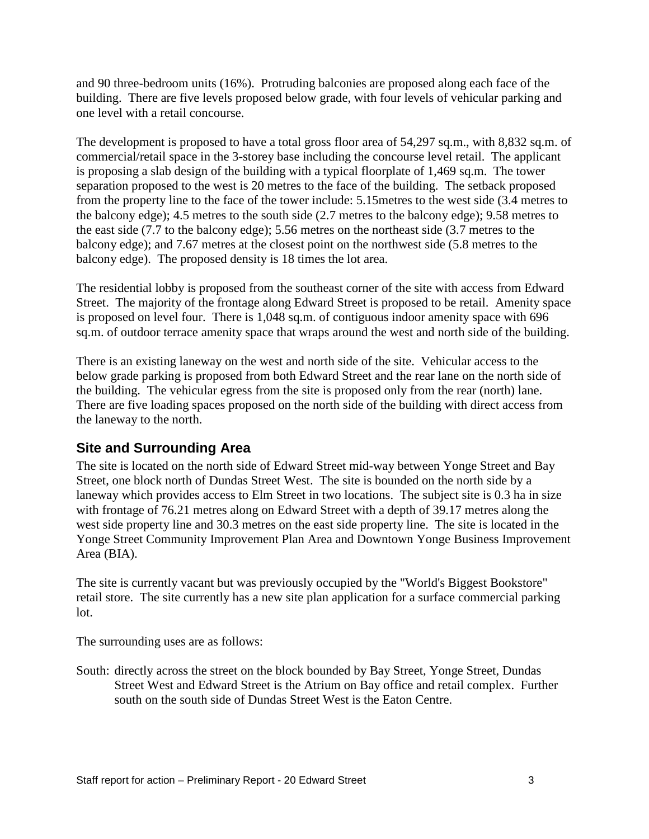and 90 three-bedroom units (16%). Protruding balconies are proposed along each face of the building. There are five levels proposed below grade, with four levels of vehicular parking and one level with a retail concourse.

The development is proposed to have a total gross floor area of 54,297 sq.m., with 8,832 sq.m. of commercial/retail space in the 3-storey base including the concourse level retail. The applicant is proposing a slab design of the building with a typical floorplate of 1,469 sq.m. The tower separation proposed to the west is 20 metres to the face of the building. The setback proposed from the property line to the face of the tower include: 5.15metres to the west side (3.4 metres to the balcony edge); 4.5 metres to the south side (2.7 metres to the balcony edge); 9.58 metres to the east side (7.7 to the balcony edge); 5.56 metres on the northeast side (3.7 metres to the balcony edge); and 7.67 metres at the closest point on the northwest side (5.8 metres to the balcony edge). The proposed density is 18 times the lot area.

The residential lobby is proposed from the southeast corner of the site with access from Edward Street. The majority of the frontage along Edward Street is proposed to be retail. Amenity space is proposed on level four. There is 1,048 sq.m. of contiguous indoor amenity space with 696 sq.m. of outdoor terrace amenity space that wraps around the west and north side of the building.

There is an existing laneway on the west and north side of the site. Vehicular access to the below grade parking is proposed from both Edward Street and the rear lane on the north side of the building. The vehicular egress from the site is proposed only from the rear (north) lane. There are five loading spaces proposed on the north side of the building with direct access from the laneway to the north.

#### **Site and Surrounding Area**

The site is located on the north side of Edward Street mid-way between Yonge Street and Bay Street, one block north of Dundas Street West. The site is bounded on the north side by a laneway which provides access to Elm Street in two locations. The subject site is 0.3 ha in size with frontage of 76.21 metres along on Edward Street with a depth of 39.17 metres along the west side property line and 30.3 metres on the east side property line. The site is located in the Yonge Street Community Improvement Plan Area and Downtown Yonge Business Improvement Area (BIA).

The site is currently vacant but was previously occupied by the "World's Biggest Bookstore" retail store. The site currently has a new site plan application for a surface commercial parking lot.

The surrounding uses are as follows:

South: directly across the street on the block bounded by Bay Street, Yonge Street, Dundas Street West and Edward Street is the Atrium on Bay office and retail complex. Further south on the south side of Dundas Street West is the Eaton Centre.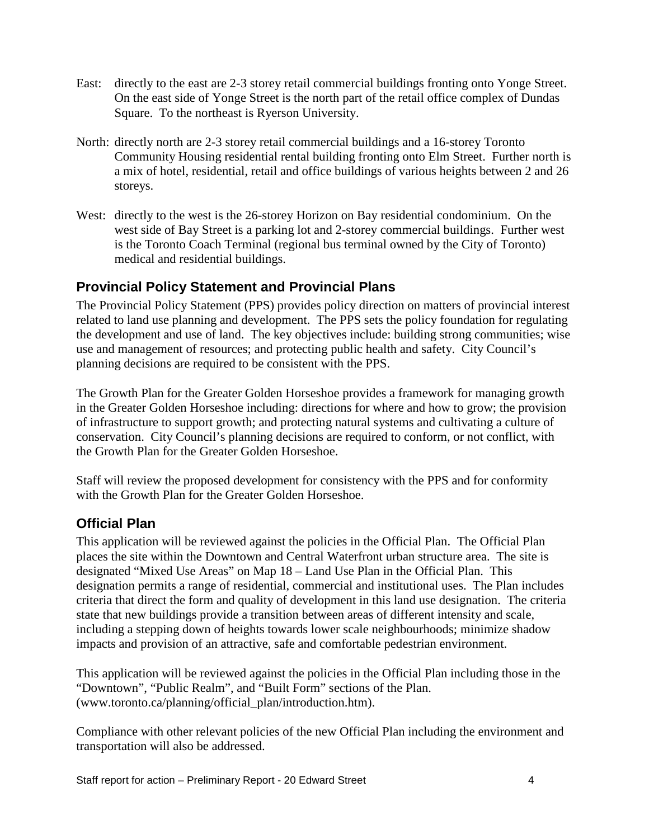- East: directly to the east are 2-3 storey retail commercial buildings fronting onto Yonge Street. On the east side of Yonge Street is the north part of the retail office complex of Dundas Square. To the northeast is Ryerson University.
- North: directly north are 2-3 storey retail commercial buildings and a 16-storey Toronto Community Housing residential rental building fronting onto Elm Street. Further north is a mix of hotel, residential, retail and office buildings of various heights between 2 and 26 storeys.
- West: directly to the west is the 26-storey Horizon on Bay residential condominium. On the west side of Bay Street is a parking lot and 2-storey commercial buildings. Further west is the Toronto Coach Terminal (regional bus terminal owned by the City of Toronto) medical and residential buildings.

#### **Provincial Policy Statement and Provincial Plans**

The Provincial Policy Statement (PPS) provides policy direction on matters of provincial interest related to land use planning and development. The PPS sets the policy foundation for regulating the development and use of land. The key objectives include: building strong communities; wise use and management of resources; and protecting public health and safety. City Council's planning decisions are required to be consistent with the PPS.

The Growth Plan for the Greater Golden Horseshoe provides a framework for managing growth in the Greater Golden Horseshoe including: directions for where and how to grow; the provision of infrastructure to support growth; and protecting natural systems and cultivating a culture of conservation. City Council's planning decisions are required to conform, or not conflict, with the Growth Plan for the Greater Golden Horseshoe.

Staff will review the proposed development for consistency with the PPS and for conformity with the Growth Plan for the Greater Golden Horseshoe.

#### **Official Plan**

This application will be reviewed against the policies in the Official Plan. The Official Plan places the site within the Downtown and Central Waterfront urban structure area. The site is designated "Mixed Use Areas" on Map 18 – Land Use Plan in the Official Plan. This designation permits a range of residential, commercial and institutional uses. The Plan includes criteria that direct the form and quality of development in this land use designation. The criteria state that new buildings provide a transition between areas of different intensity and scale, including a stepping down of heights towards lower scale neighbourhoods; minimize shadow impacts and provision of an attractive, safe and comfortable pedestrian environment.

This application will be reviewed against the policies in the Official Plan including those in the "Downtown", "Public Realm", and "Built Form" sections of the Plan. [\(www.toronto.ca/planning/official\\_plan/introduction.htm\)](http://www.toronto.ca/planning/official_plan/introduction.htm).

Compliance with other relevant policies of the new Official Plan including the environment and transportation will also be addressed.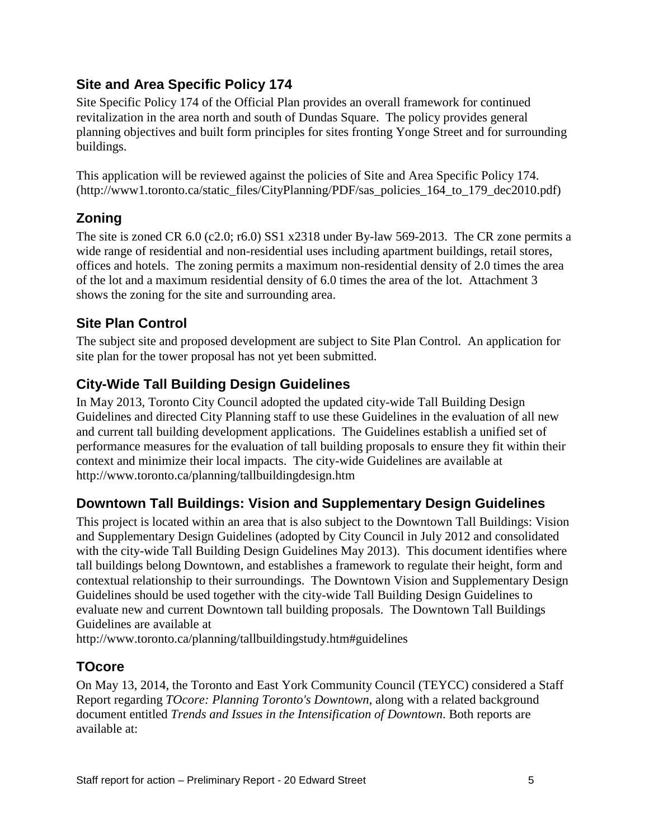## **Site and Area Specific Policy 174**

Site Specific Policy 174 of the Official Plan provides an overall framework for continued revitalization in the area north and south of Dundas Square. The policy provides general planning objectives and built form principles for sites fronting Yonge Street and for surrounding buildings.

This application will be reviewed against the policies of Site and Area Specific Policy 174. (http://www1.toronto.ca/static\_files/CityPlanning/PDF/sas\_policies\_164\_to\_179\_dec2010.pdf)

## **Zoning**

The site is zoned CR 6.0 (c2.0; r6.0) SS1 x2318 under By-law 569-2013. The CR zone permits a wide range of residential and non-residential uses including apartment buildings, retail stores, offices and hotels. The zoning permits a maximum non-residential density of 2.0 times the area of the lot and a maximum residential density of 6.0 times the area of the lot. Attachment 3 shows the zoning for the site and surrounding area.

## **Site Plan Control**

The subject site and proposed development are subject to Site Plan Control. An application for site plan for the tower proposal has not yet been submitted.

# **City-Wide Tall Building Design Guidelines**

In May 2013, Toronto City Council adopted the updated city-wide Tall Building Design Guidelines and directed City Planning staff to use these Guidelines in the evaluation of all new and current tall building development applications. The Guidelines establish a unified set of performance measures for the evaluation of tall building proposals to ensure they fit within their context and minimize their local impacts. The city-wide Guidelines are available at http://www.toronto.ca/planning/tallbuildingdesign.htm

#### **Downtown Tall Buildings: Vision and Supplementary Design Guidelines**

This project is located within an area that is also subject to the Downtown Tall Buildings: Vision and Supplementary Design Guidelines (adopted by City Council in July 2012 and consolidated with the city-wide Tall Building Design Guidelines May 2013). This document identifies where tall buildings belong Downtown, and establishes a framework to regulate their height, form and contextual relationship to their surroundings. The Downtown Vision and Supplementary Design Guidelines should be used together with the city-wide Tall Building Design Guidelines to evaluate new and current Downtown tall building proposals. The Downtown Tall Buildings Guidelines are available at

http://www.toronto.ca/planning/tallbuildingstudy.htm#guidelines

#### **TOcore**

On May 13, 2014, the Toronto and East York Community Council (TEYCC) considered a Staff Report regarding *TOcore: Planning Toronto's Downtown*, along with a related background document entitled *Trends and Issues in the Intensification of Downtown*. Both reports are available at: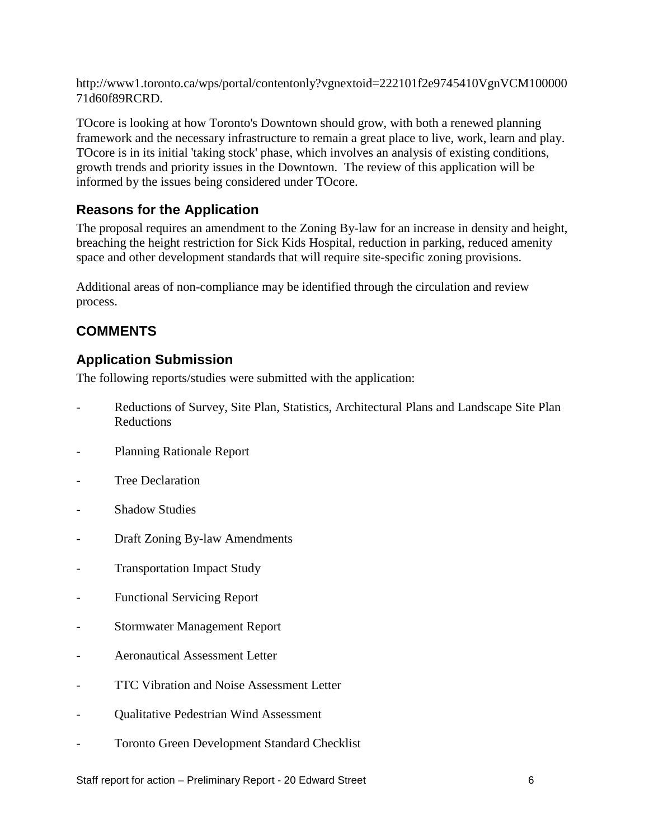http://www1.toronto.ca/wps/portal/contentonly?vgnextoid=222101f2e9745410VgnVCM100000 71d60f89RCRD.

TOcore is looking at how Toronto's Downtown should grow, with both a renewed planning framework and the necessary infrastructure to remain a great place to live, work, learn and play. TOcore is in its initial 'taking stock' phase, which involves an analysis of existing conditions, growth trends and priority issues in the Downtown. The review of this application will be informed by the issues being considered under TOcore.

#### **Reasons for the Application**

The proposal requires an amendment to the Zoning By-law for an increase in density and height, breaching the height restriction for Sick Kids Hospital, reduction in parking, reduced amenity space and other development standards that will require site-specific zoning provisions.

Additional areas of non-compliance may be identified through the circulation and review process.

# **COMMENTS**

## **Application Submission**

The following reports/studies were submitted with the application:

- Reductions of Survey, Site Plan, Statistics, Architectural Plans and Landscape Site Plan Reductions
- Planning Rationale Report
- Tree Declaration
- **Shadow Studies**
- Draft Zoning By-law Amendments
- **Transportation Impact Study**
- Functional Servicing Report
- Stormwater Management Report
- Aeronautical Assessment Letter
- TTC Vibration and Noise Assessment Letter
- Qualitative Pedestrian Wind Assessment
- Toronto Green Development Standard Checklist

Staff report for action – Preliminary Report - 20 Edward Street 6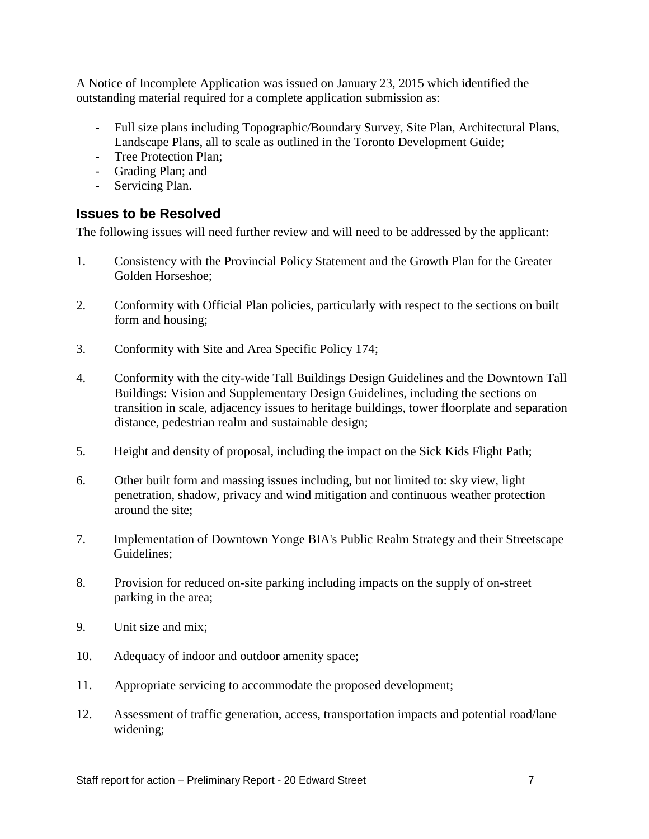A Notice of Incomplete Application was issued on January 23, 2015 which identified the outstanding material required for a complete application submission as:

- Full size plans including Topographic/Boundary Survey, Site Plan, Architectural Plans, Landscape Plans, all to scale as outlined in the Toronto Development Guide;
- Tree Protection Plan;
- Grading Plan; and
- Servicing Plan.

#### **Issues to be Resolved**

The following issues will need further review and will need to be addressed by the applicant:

- 1. Consistency with the Provincial Policy Statement and the Growth Plan for the Greater Golden Horseshoe;
- 2. Conformity with Official Plan policies, particularly with respect to the sections on built form and housing;
- 3. Conformity with Site and Area Specific Policy 174;
- 4. Conformity with the city-wide Tall Buildings Design Guidelines and the Downtown Tall Buildings: Vision and Supplementary Design Guidelines, including the sections on transition in scale, adjacency issues to heritage buildings, tower floorplate and separation distance, pedestrian realm and sustainable design;
- 5. Height and density of proposal, including the impact on the Sick Kids Flight Path;
- 6. Other built form and massing issues including, but not limited to: sky view, light penetration, shadow, privacy and wind mitigation and continuous weather protection around the site;
- 7. Implementation of Downtown Yonge BIA's Public Realm Strategy and their Streetscape Guidelines;
- 8. Provision for reduced on-site parking including impacts on the supply of on-street parking in the area;
- 9. Unit size and mix;
- 10. Adequacy of indoor and outdoor amenity space;
- 11. Appropriate servicing to accommodate the proposed development;
- 12. Assessment of traffic generation, access, transportation impacts and potential road/lane widening;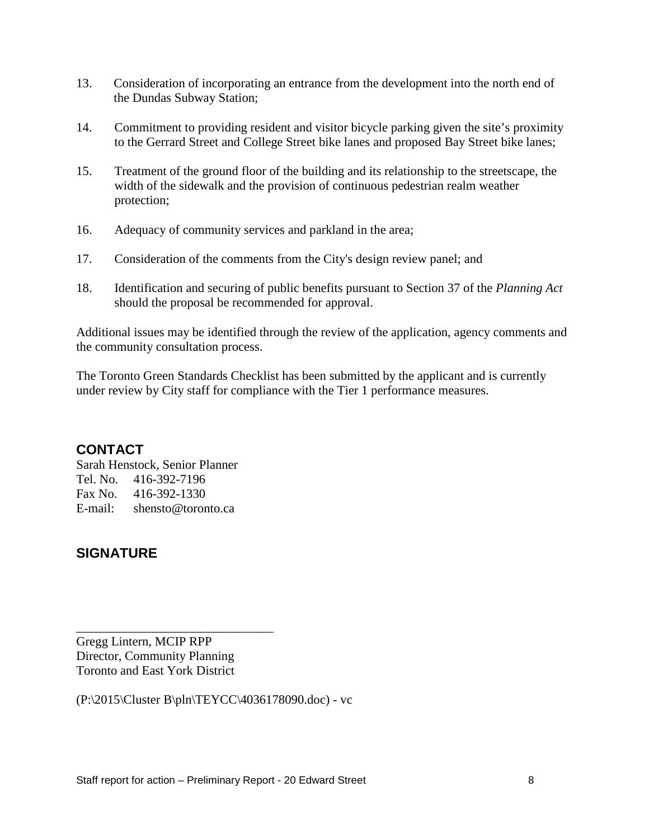- 13. Consideration of incorporating an entrance from the development into the north end of the Dundas Subway Station;
- 14. Commitment to providing resident and visitor bicycle parking given the site's proximity to the Gerrard Street and College Street bike lanes and proposed Bay Street bike lanes;
- 15. Treatment of the ground floor of the building and its relationship to the streetscape, the width of the sidewalk and the provision of continuous pedestrian realm weather protection;
- 16. Adequacy of community services and parkland in the area;
- 17. Consideration of the comments from the City's design review panel; and
- 18. Identification and securing of public benefits pursuant to Section 37 of the *Planning Act*  should the proposal be recommended for approval.

Additional issues may be identified through the review of the application, agency comments and the community consultation process.

The Toronto Green Standards Checklist has been submitted by the applicant and is currently under review by City staff for compliance with the Tier 1 performance measures.

#### **CONTACT**

Sarah Henstock, Senior Planner Tel. No. 416-392-7196 Fax No. 416-392-1330 E-mail: shensto@toronto.ca

## **SIGNATURE**

Gregg Lintern, MCIP RPP Director, Community Planning Toronto and East York District

\_\_\_\_\_\_\_\_\_\_\_\_\_\_\_\_\_\_\_\_\_\_\_\_\_\_\_\_\_\_\_

(P:\2015\Cluster B\pln\TEYCC\4036178090.doc) - vc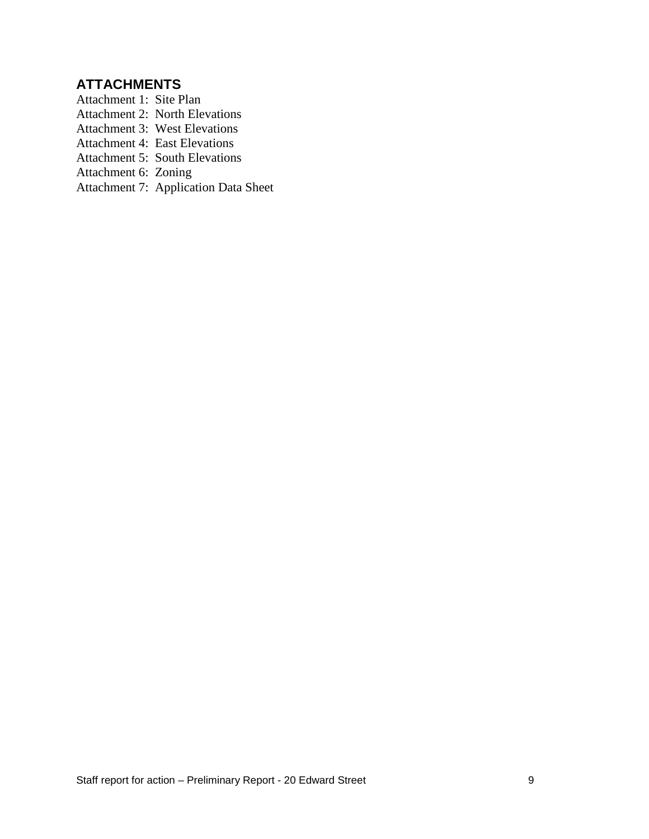# **ATTACHMENTS**

- Attachment 1: Site Plan
- Attachment 2: North Elevations
- Attachment 3: West Elevations
- Attachment 4: East Elevations
- Attachment 5: South Elevations
- Attachment 6: Zoning
- Attachment 7: Application Data Sheet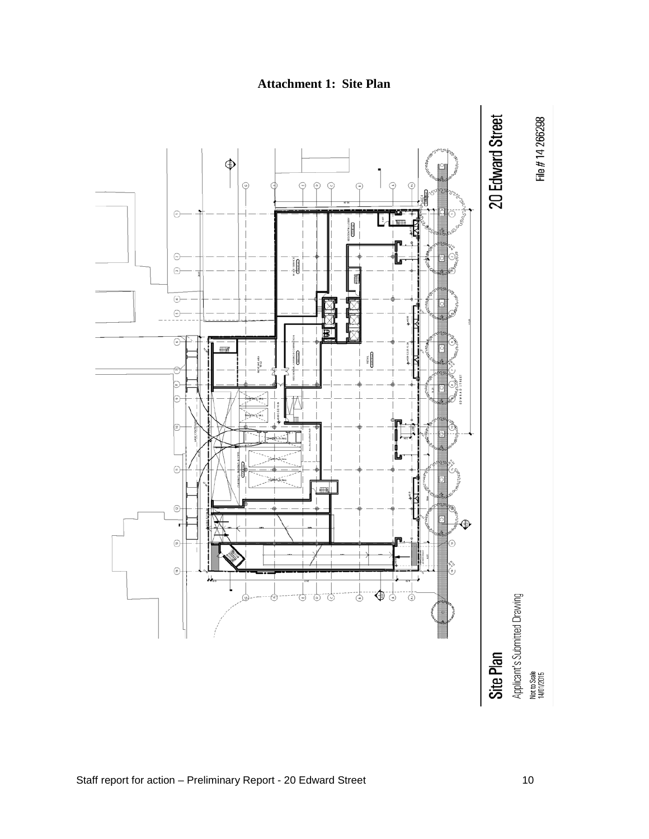

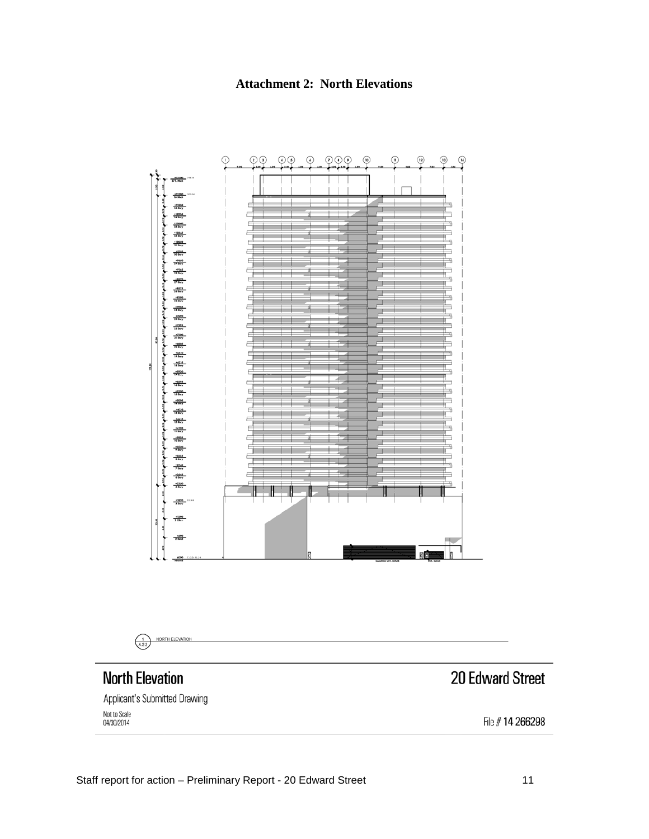

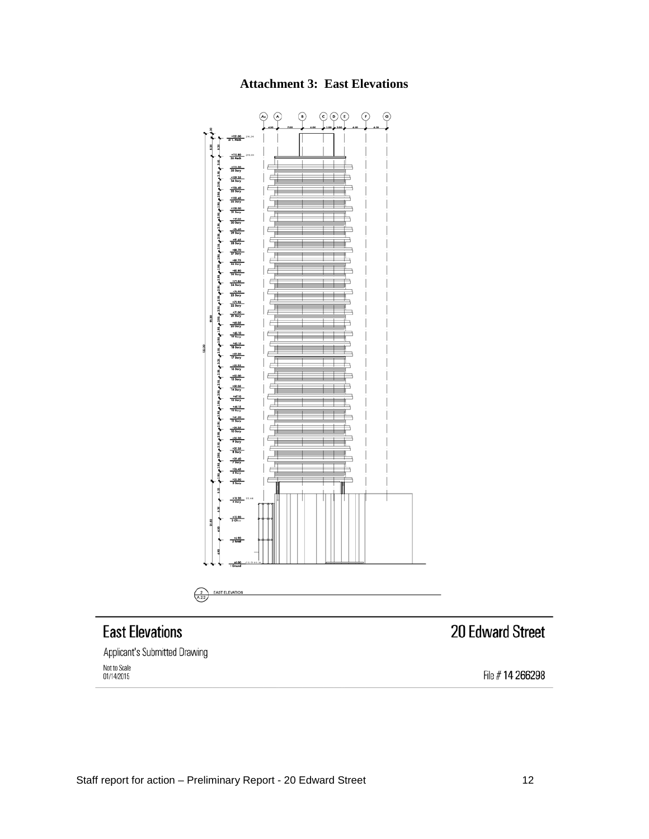



# **East Elevations**

Applicant's Submitted Drawing Not to Scale<br>01/14/2015

# 20 Edward Street

File #14 266298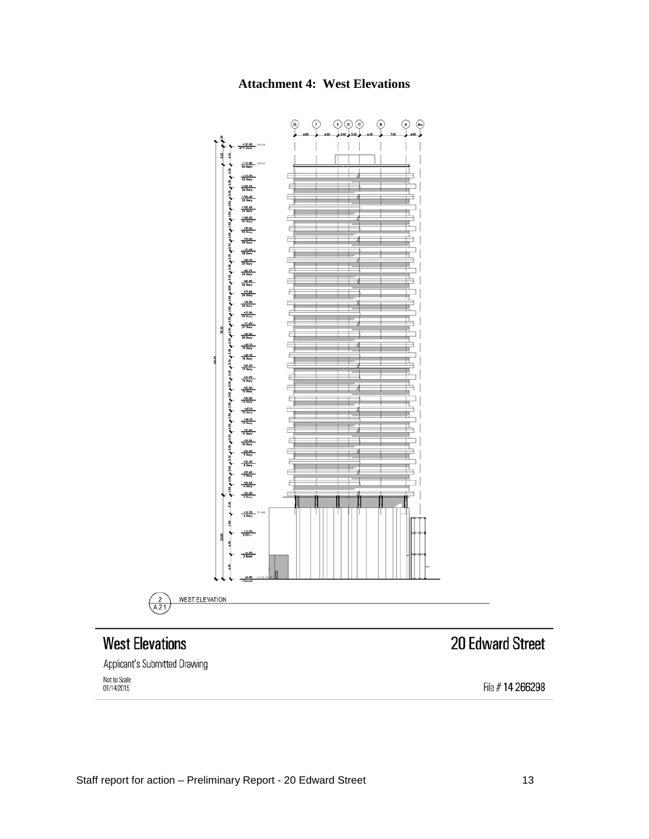



# **West Elevations**

Applicant's Submitted Drawing Not to Scale<br>01/14/2015

# 20 Edward Street

File #14 266298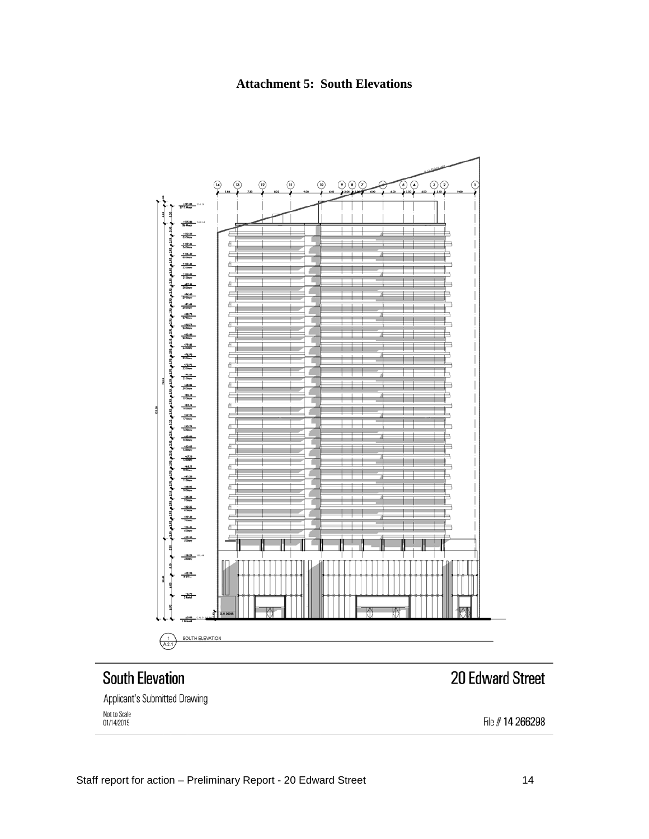**Attachment 5: South Elevations**



# **South Elevation**

# 20 Edward Street

Applicant's Submitted Drawing Not to Scale<br>01/14/2015

File # 14 266298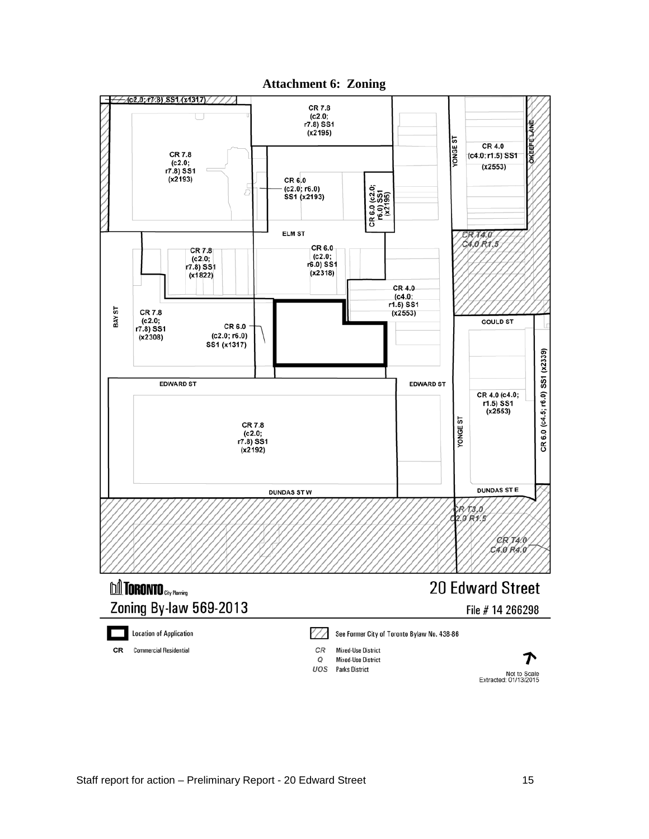